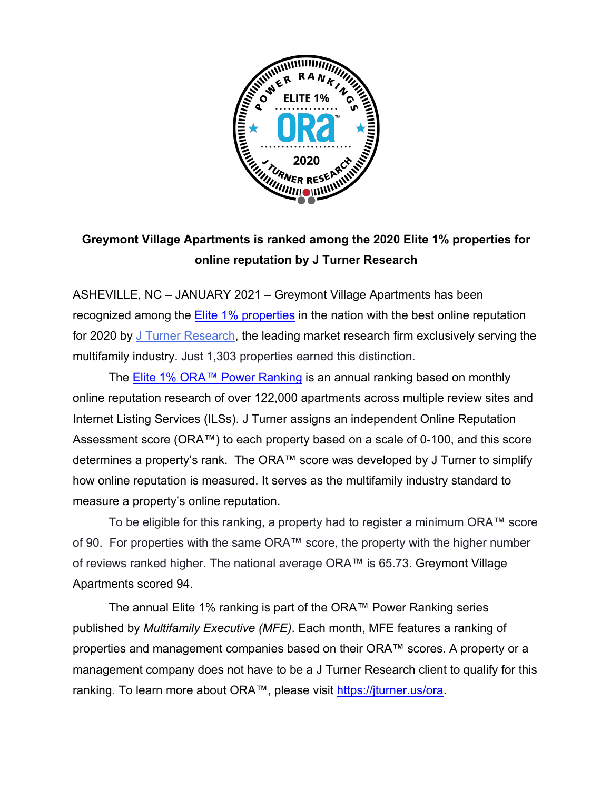

# **Greymont Village Apartments is ranked among the 2020 Elite 1% properties for online reputation by J Turner Research**

ASHEVILLE, NC – JANUARY 2021 – Greymont Village Apartments has been recognized among the Elite 1% properties in the nation with the best online reputation for 2020 by J Turner Research, the leading market research firm exclusively serving the multifamily industry. Just 1,303 properties earned this distinction.

The Elite 1% ORA™ Power Ranking is an annual ranking based on monthly online reputation research of over 122,000 apartments across multiple review sites and Internet Listing Services (ILSs). J Turner assigns an independent Online Reputation Assessment score (ORA™) to each property based on a scale of 0-100, and this score determines a property's rank. The ORA™ score was developed by J Turner to simplify how online reputation is measured. It serves as the multifamily industry standard to measure a property's online reputation.

To be eligible for this ranking, a property had to register a minimum ORA™ score of 90. For properties with the same ORA™ score, the property with the higher number of reviews ranked higher. The national average ORA™ is 65.73. Greymont Village Apartments scored 94.

The annual Elite 1% ranking is part of the ORA™ Power Ranking series published by *Multifamily Executive (MFE)*. Each month, MFE features a ranking of properties and management companies based on their ORA™ scores. A property or a management company does not have to be a J Turner Research client to qualify for this ranking. To learn more about ORA™, please visit https://jturner.us/ora.